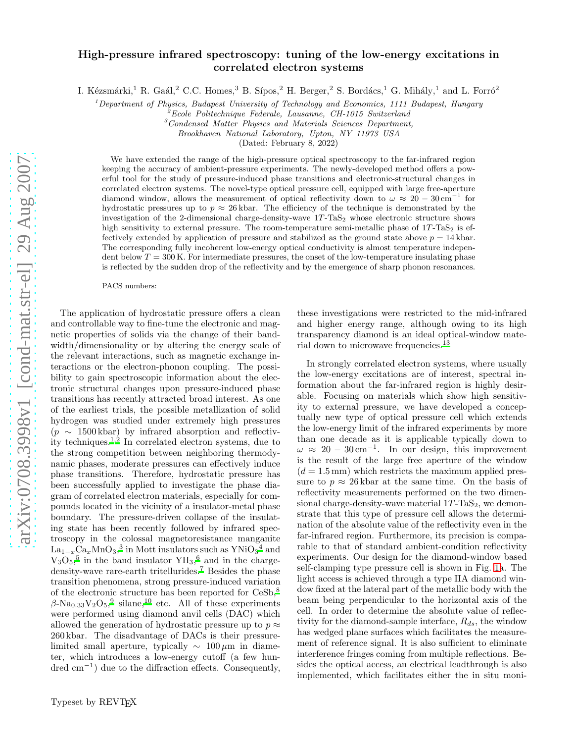## High-pressure infrared spectroscopy: tuning of the low-energy excitations in correlated electron systems

I. Kézsmárki,<sup>1</sup> R. Gaál,<sup>2</sup> C.C. Homes,<sup>3</sup> B. Sípos,<sup>2</sup> H. Berger,<sup>2</sup> S. Bordács,<sup>1</sup> G. Mihály,<sup>1</sup> and L. Forró<sup>2</sup>

 $1$  Department of Physics, Budapest University of Technology and Economics, 1111 Budapest, Hungary

 $2^2$ Ecole Politechnique Federale, Lausanne, CH-1015 Switzerland

 $3$ Condensed Matter Physics and Materials Sciences Department,

Brookhaven National Laboratory, Upton, NY 11973 USA

(Dated: February 8, 2022)

We have extended the range of the high-pressure optical spectroscopy to the far-infrared region keeping the accuracy of ambient-pressure experiments. The newly-developed method offers a powerful tool for the study of pressure-induced phase transitions and electronic-structural changes in correlated electron systems. The novel-type optical pressure cell, equipped with large free-aperture diamond window, allows the measurement of optical reflectivity down to  $\omega \approx 20 - 30 \text{ cm}^{-1}$  for hydrostatic pressures up to  $p \approx 26$  kbar. The efficiency of the technique is demonstrated by the investigation of the 2-dimensional charge-density-wave  $1T$ -TaS<sub>2</sub> whose electronic structure shows high sensitivity to external pressure. The room-temperature semi-metallic phase of  $1T$ -TaS<sub>2</sub> is effectively extended by application of pressure and stabilized as the ground state above  $p = 14$  kbar. The corresponding fully incoherent low-energy optical conductivity is almost temperature independent below  $T = 300$  K. For intermediate pressures, the onset of the low-temperature insulating phase is reflected by the sudden drop of the reflectivity and by the emergence of sharp phonon resonances.

PACS numbers:

The application of hydrostatic pressure offers a clean and controllable way to fine-tune the electronic and magnetic properties of solids via the change of their bandwidth/dimensionality or by altering the energy scale of the relevant interactions, such as magnetic exchange interactions or the electron-phonon coupling. The possibility to gain spectroscopic information about the electronic structural changes upon pressure-induced phase transitions has recently attracted broad interest. As one of the earliest trials, the possible metallization of solid hydrogen was studied under extremely high pressures  $(p \sim 1500 \text{ kbar})$  by infrared absorption and reflectiv-ity techniques.<sup>[1](#page-3-0)[,2](#page-3-1)</sup> In correlated electron systems, due to the strong competition between neighboring thermodynamic phases, moderate pressures can effectively induce phase transitions. Therefore, hydrostatic pressure has been successfully applied to investigate the phase diagram of correlated electron materials, especially for compounds located in the vicinity of a insulator-metal phase boundary. The pressure-driven collapse of the insulating state has been recently followed by infrared spectroscopy in the colossal magnetoresistance manganite  $\text{La}_{1-x}\text{Ca}_x\text{MnO}_3^3$  $\text{La}_{1-x}\text{Ca}_x\text{MnO}_3^3$  $\text{La}_{1-x}\text{Ca}_x\text{MnO}_3^3$  in Mott insulators such as  $\text{YNiO}_3{}^4$  $\text{YNiO}_3{}^4$  and  $V_3O_5$  $V_3O_5$ <sup>5</sup> in the band insulator  $YH_3$ <sup>[6](#page-3-5)</sup> and in the charge-density-wave rare-earth tritellurides.<sup>[7](#page-3-6)</sup> Besides the phase transition phenomena, strong pressure-induced variation of the electronic structure has been reported for CeSb,[8](#page-3-7)  $\beta$ -Na<sub>0.33</sub>V<sub>2</sub>O<sub>5</sub>,<sup>[9](#page-3-8)</sup> silane,<sup>[10](#page-3-9)</sup> etc. All of these experiments were performed using diamond anvil cells (DAC) which allowed the generation of hydrostatic pressure up to  $p \approx$ 260 kbar. The disadvantage of DACs is their pressurelimited small aperture, typically  $\sim 100 \,\mu m$  in diameter, which introduces a low-energy cutoff (a few hundred cm<sup>−</sup><sup>1</sup> ) due to the diffraction effects. Consequently,

these investigations were restricted to the mid-infrared and higher energy range, although owing to its high transparency diamond is an ideal optical-window material down to microwave frequencies.[13](#page-3-10)

In strongly correlated electron systems, where usually the low-energy excitations are of interest, spectral information about the far-infrared region is highly desirable. Focusing on materials which show high sensitivity to external pressure, we have developed a conceptually new type of optical pressure cell which extends the low-energy limit of the infrared experiments by more than one decade as it is applicable typically down to  $\omega \approx 20 - 30 \,\mathrm{cm}^{-1}$ . In our design, this improvement is the result of the large free aperture of the window  $(d = 1.5 \text{ mm})$  which restricts the maximum applied pressure to  $p \approx 26$  kbar at the same time. On the basis of reflectivity measurements performed on the two dimensional charge-density-wave material  $1T$ -TaS<sub>2</sub>, we demonstrate that this type of pressure cell allows the determination of the absolute value of the reflectivity even in the far-infrared region. Furthermore, its precision is comparable to that of standard ambient-condition reflectivity experiments. Our design for the diamond-window based self-clamping type pressure cell is shown in Fig. [1a](#page-1-0). The light access is achieved through a type IIA diamond window fixed at the lateral part of the metallic body with the beam being perpendicular to the horizontal axis of the cell. In order to determine the absolute value of reflectivity for the diamond-sample interface,  $R_{ds}$ , the window has wedged plane surfaces which facilitates the measurement of reference signal. It is also sufficient to eliminate interference fringes coming from multiple reflections. Besides the optical access, an electrical leadthrough is also implemented, which facilitates either the in situ moni-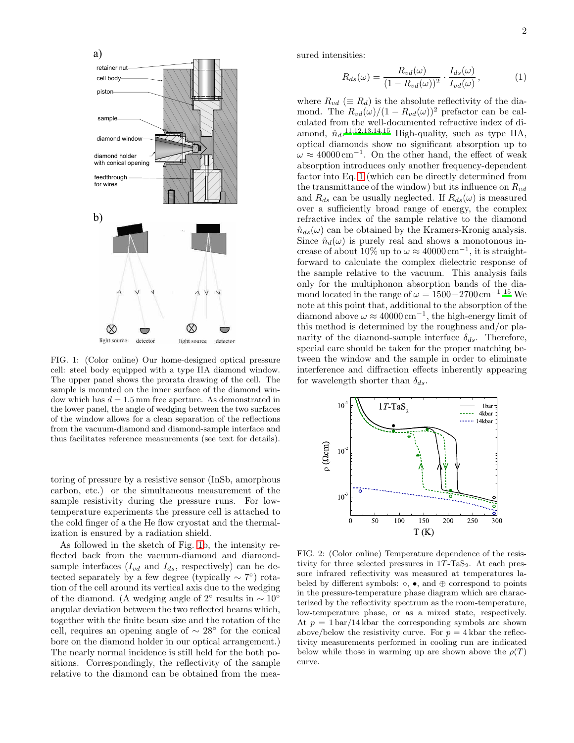

<span id="page-1-0"></span>FIG. 1: (Color online) Our home-designed optical pressure cell: steel body equipped with a type IIA diamond window. The upper panel shows the prorata drawing of the cell. The sample is mounted on the inner surface of the diamond window which has  $d = 1.5$  mm free aperture. As demonstrated in the lower panel, the angle of wedging between the two surfaces of the window allows for a clean separation of the reflections from the vacuum-diamond and diamond-sample interface and thus facilitates reference measurements (see text for details).

toring of pressure by a resistive sensor (InSb, amorphous carbon, etc.) or the simultaneous measurement of the sample resistivity during the pressure runs. For lowtemperature experiments the pressure cell is attached to the cold finger of a the He flow cryostat and the thermalization is ensured by a radiation shield.

As followed in the sketch of Fig. [1b](#page-1-0), the intensity reflected back from the vacuum-diamond and diamondsample interfaces  $(I_{vd}$  and  $I_{ds}$ , respectively) can be detected separately by a few degree (typically  $\sim 7^{\circ}$ ) rotation of the cell around its vertical axis due to the wedging of the diamond. (A wedging angle of 2° results in  $\sim 10^{\circ}$ angular deviation between the two reflected beams which, together with the finite beam size and the rotation of the cell, requires an opening angle of  $\sim 28^{\circ}$  for the conical bore on the diamond holder in our optical arrangement.) The nearly normal incidence is still held for the both positions. Correspondingly, the reflectivity of the sample relative to the diamond can be obtained from the measured intensities:

<span id="page-1-1"></span>
$$
R_{ds}(\omega) = \frac{R_{vd}(\omega)}{(1 - R_{vd}(\omega))^2} \cdot \frac{I_{ds}(\omega)}{I_{vd}(\omega)},
$$
(1)

where  $R_{vd} \equiv R_d$ ) is the absolute reflectivity of the diamond. The  $R_{vd}(\omega)/(1 - R_{vd}(\omega))^2$  prefactor can be calculated from the well-documented refractive index of diamond,  $\hat{n}_d$ .<sup>[11](#page-3-11)[,12](#page-3-12)[,13](#page-3-10)[,14](#page-3-13)[,15](#page-3-14)</sup> High-quality, such as type IIA, optical diamonds show no significant absorption up to  $\omega \approx 40000 \,\mathrm{cm}^{-1}$ . On the other hand, the effect of weak absorption introduces only another frequency-dependent factor into Eq. [1](#page-1-1) (which can be directly determined from the transmittance of the window) but its influence on  $R_{vd}$ and  $R_{ds}$  can be usually neglected. If  $R_{ds}(\omega)$  is measured over a sufficiently broad range of energy, the complex refractive index of the sample relative to the diamond  $\hat{n}_{ds}(\omega)$  can be obtained by the Kramers-Kronig analysis. Since  $\hat{n}_d(\omega)$  is purely real and shows a monotonous increase of about 10% up to  $\omega \approx 40000 \text{ cm}^{-1}$ , it is straightforward to calculate the complex dielectric response of the sample relative to the vacuum. This analysis fails only for the multiphonon absorption bands of the diamond located in the range of  $\omega = 1500 - 2700 \,\mathrm{cm}^{-1}$ [.](#page-3-14)<sup>15</sup> We note at this point that, additional to the absorption of the diamond above  $\omega \approx 40000 \,\mathrm{cm}^{-1}$ , the high-energy limit of this method is determined by the roughness and/or planarity of the diamond-sample interface  $\delta_{ds}$ . Therefore, special care should be taken for the proper matching between the window and the sample in order to eliminate interference and diffraction effects inherently appearing for wavelength shorter than  $\delta_{ds}$ .



<span id="page-1-2"></span>FIG. 2: (Color online) Temperature dependence of the resistivity for three selected pressures in  $1T$ -TaS<sub>2</sub>. At each pressure infrared reflectivity was measured at temperatures labeled by different symbols:  $\circ$ ,  $\bullet$ , and  $\oplus$  correspond to points in the pressure-temperature phase diagram which are characterized by the reflectivity spectrum as the room-temperature, low-temperature phase, or as a mixed state, respectively. At  $p = 1 \frac{\text{bar}}{14}$  kbar the corresponding symbols are shown above/below the resistivity curve. For  $p = 4$  kbar the reflectivity measurements performed in cooling run are indicated below while those in warming up are shown above the  $\rho(T)$ curve.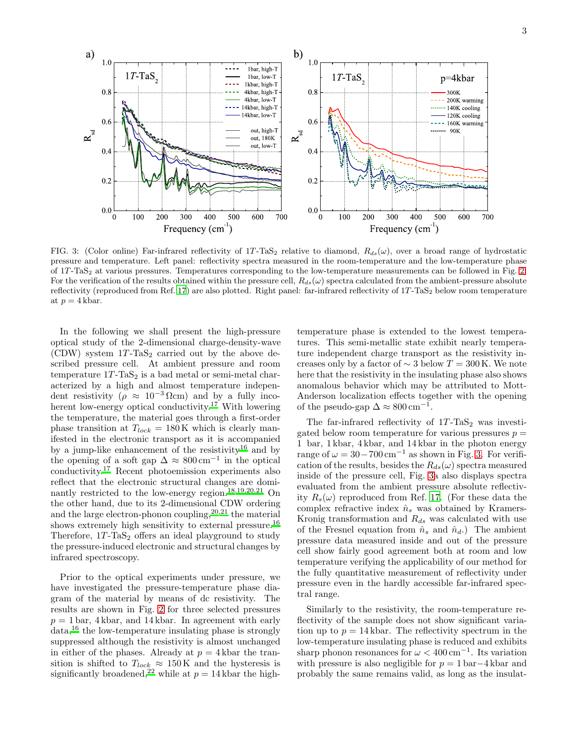

<span id="page-2-0"></span>FIG. 3: (Color online) Far-infrared reflectivity of 1T-TaS<sub>2</sub> relative to diamond,  $R_{ds}(\omega)$ , over a broad range of hydrostatic pressure and temperature. Left panel: reflectivity spectra measured in the room-temperature and the low-temperature phase of 1T -TaS<sup>2</sup> at various pressures. Temperatures corresponding to the low-temperature measurements can be followed in Fig. [2.](#page-1-2) For the verification of the results obtained within the pressure cell,  $R_{ds}(\omega)$  spectra calculated from the ambient-pressure absolute reflectivity (reproduced from Ref. [17\)](#page-3-15) are also plotted. Right panel: far-infrared reflectivity of  $1T$ -TaS<sub>2</sub> below room temperature at  $p = 4$  kbar.

In the following we shall present the high-pressure optical study of the 2-dimensional charge-density-wave (CDW) system  $1T$ -TaS<sub>2</sub> carried out by the above described pressure cell. At ambient pressure and room temperature  $1T$ -TaS<sub>2</sub> is a bad metal or semi-metal characterized by a high and almost temperature independent resistivity ( $\rho \approx 10^{-3} \Omega$ cm) and by a fully incoherent low-energy optical conductivity.[17](#page-3-15) With lowering the temperature, the material goes through a first-order phase transition at  $T_{lock} = 180 \,\mathrm{K}$  which is clearly manifested in the electronic transport as it is accompanied by a jump-like enhancement of the resistivity<sup>[16](#page-3-16)</sup> and by the opening of a soft gap  $\Delta \approx 800 \,\text{cm}^{-1}$  in the optical conductivity.[17](#page-3-15) Recent photoemission experiments also reflect that the electronic structural changes are dominantly restricted to the low-energy region.[18](#page-3-17)[,19](#page-3-18)[,20](#page-3-19)[,21](#page-3-20) On the other hand, due to its 2-dimensional CDW ordering and the large electron-phonon coupling,  $20,21$  $20,21$  the material shows extremely high sensitivity to external pressure.<sup>[16](#page-3-16)</sup> Therefore,  $1T$ -TaS<sub>2</sub> offers an ideal playground to study the pressure-induced electronic and structural changes by infrared spectroscopy.

Prior to the optical experiments under pressure, we have investigated the pressure-temperature phase diagram of the material by means of dc resistivity. The results are shown in Fig. [2](#page-1-2) for three selected pressures  $p = 1$  bar, 4 kbar, and 14 kbar. In agreement with early data,[16](#page-3-16) the low-temperature insulating phase is strongly suppressed although the resistivity is almost unchanged in either of the phases. Already at  $p = 4$  kbar the transition is shifted to  $T_{lock} \approx 150 \,\mathrm{K}$  and the hysteresis is significantly broadened,<sup>[22](#page-3-21)</sup> while at  $p = 14$  kbar the high-

temperature phase is extended to the lowest temperatures. This semi-metallic state exhibit nearly temperature independent charge transport as the resistivity increases only by a factor of  $\sim$  3 below  $T = 300$  K. We note here that the resistivity in the insulating phase also shows anomalous behavior which may be attributed to Mott-Anderson localization effects together with the opening of the pseudo-gap  $\Delta \approx 800 \,\mathrm{cm}^{-1}$ .

The far-infrared reflectivity of  $1T$ -TaS<sub>2</sub> was investigated below room temperature for various pressures  $p =$ 1 bar, 1 kbar, 4 kbar, and 14 kbar in the photon energy range of  $\omega = 30 - 700 \,\mathrm{cm}^{-1}$  as shown in Fig. [3.](#page-2-0) For verification of the results, besides the  $R_{ds}(\omega)$  spectra measured inside of the pressure cell, Fig. [3a](#page-2-0) also displays spectra evaluated from the ambient pressure absolute reflectivity  $R_s(\omega)$  reproduced from Ref. [17](#page-3-15). (For these data the complex refractive index  $\hat{n}_s$  was obtained by Kramers-Kronig transformation and  $R_{ds}$  was calculated with use of the Fresnel equation from  $\hat{n}_s$  and  $\hat{n}_d$ .) The ambient pressure data measured inside and out of the pressure cell show fairly good agreement both at room and low temperature verifying the applicability of our method for the fully quantitative measurement of reflectivity under pressure even in the hardly accessible far-infrared spectral range.

Similarly to the resistivity, the room-temperature reflectivity of the sample does not show significant variation up to  $p = 14 \text{ kbar}$ . The reflectivity spectrum in the low-temperature insulating phase is reduced and exhibits sharp phonon resonances for  $\omega < 400 \,\mathrm{cm}^{-1}$ . Its variation with pressure is also negligible for  $p = 1$  bar $-4$  kbar and probably the same remains valid, as long as the insulat